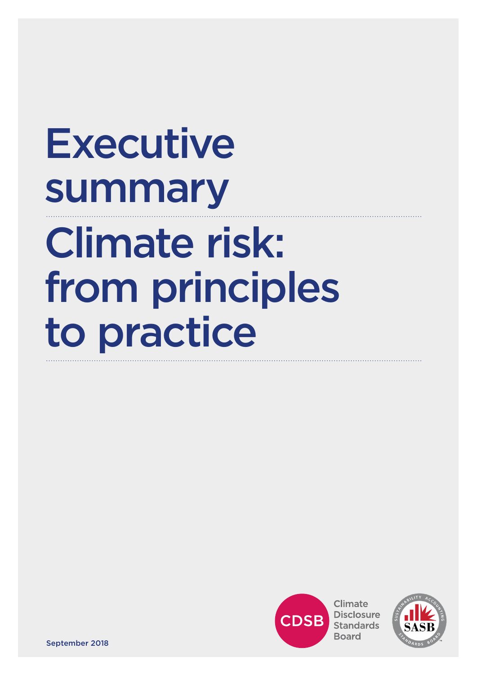## **Executive** summary

# Climate risk: from principles to practice



Climate **Disclosure Standards** 

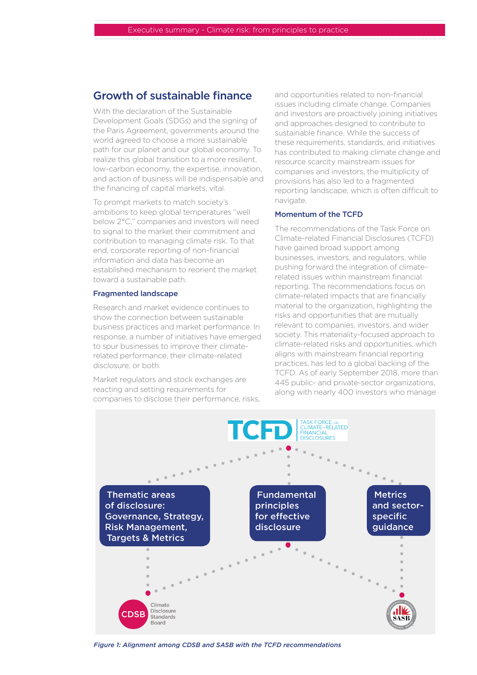## Growth of sustainable finance

With the declaration of the Sustainable Development Goals (SDGs) and the signing of the Paris Agreement, governments around the world agreed to choose a more sustainable path for our planet and our global economy. To realize this global transition to a more resilient, low-carbon economy, the expertise, innovation, and action of business will be indispensable and the financing of capital markets, vital.

To prompt markets to match society's ambitions to keep global temperatures "well below 2°C," companies and investors will need to signal to the market their commitment and contribution to managing climate risk. To that end, corporate reporting of non-financial information and data has become an established mechanism to reorient the market toward a sustainable path.

#### Fragmented landscape

Research and market evidence continues to show the connection between sustainable business practices and market performance. In response, a number of initiatives have emerged to spur businesses to improve their climaterelated performance, their climate-related disclosure, or both.

Market regulators and stock exchanges are reacting and setting requirements for companies to disclose their performance, risks,

and opportunities related to non-financial issues including climate change. Companies and investors are proactively joining initiatives and approaches designed to contribute to sustainable finance. While the success of these requirements, standards, and initiatives has contributed to making climate change and resource scarcity mainstream issues for companies and investors, the multiplicity of provisions has also led to a fragmented reporting landscape, which is often difficult to navigate.

#### Momentum of the TCFD

The recommendations of the Task Force on Climate-related Financial Disclosures (TCFD) have gained broad support among businesses, investors, and regulators, while pushing forward the integration of climaterelated issues within mainstream financial reporting. The recommendations focus on climate-related impacts that are financially material to the organization, highlighting the risks and opportunities that are mutually relevant to companies, investors, and wider society. This materiality-focused approach to climate-related risks and opportunities, which aligns with mainstream financial reporting practices, has led to a global backing of the TCFD. As of early September 2018, more than 445 public- and private-sector organizations, along with nearly 400 investors who manage



*Figure 1: Alignment among CDSB and SASB with the TCFD recommendations*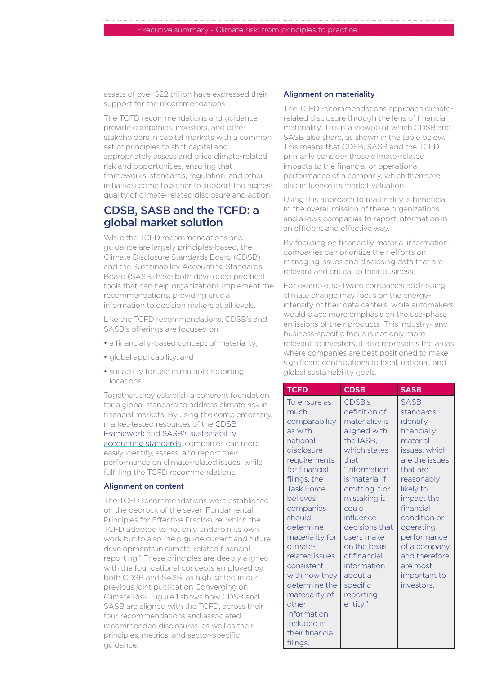assets of over \$22 trillion have expressed their support for the recommendations.

The TCFD recommendations and guidance provide companies, investors, and other stakeholders in capital markets with a common set of principles to shift capital and appropriately assess and price climate-related risk and opportunities, ensuring that frameworks, standards, regulation, and other initiatives come together to support the highest quality of climate-related disclosure and action.

## CDSB, SASB and the TCFD: a global market solution

While the TCFD recommendations and guidance are largely principles-based, the Climate Disclosure Standards Board (CDSB) and the Sustainability Accounting Standards Board (SASB) have both developed practical tools that can help organizations implement the recommendations, providing crucial information to decision makers at all levels.

Like the TCFD recommendations, CDSB's and SASB's offerings are focused on:

- a financially-based concept of materiality;
- global applicability; and
- suitability for use in multiple reporting locations.

Together, they establish a coherent foundation for a global standard to address climate risk in financial markets. By using the complementary, market-tested resources of the [CDSB](https://www.cdsb.net/framework)  [Framework](https://www.cdsb.net/framework) and [SASB's sustainability](https://www.sasb.org/download-the-standards/)  [accounting standards](https://www.sasb.org/download-the-standards/), companies can more easily identify, assess, and report their performance on climate-related issues, while fulfilling the TCFD recommendations.

#### Alignment on content

The TCFD recommendations were established on the bedrock of the seven Fundamental Principles for Effective Disclosure, which the TCFD adopted to not only underpin its own work but to also "help guide current and future developments in climate-related financial reporting." These principles are deeply aligned with the foundational concepts employed by both CDSB and SASB, as highlighted in our previous joint publication Converging on Climate Risk. Figure 1 shows how CDSB and SASB are aligned with the TCFD, across their four recommendations and associated recommended disclosures, as well as their principles, metrics, and sector-specific guidance.

#### Alignment on materiality

The TCFD recommendations approach climaterelated disclosure through the lens of financial materiality. This is a viewpoint which CDSB and SASB also share, as shown in the table below. This means that CDSB, SASB and the TCFD primarily consider those climate-related impacts to the financial or operational performance of a company, which therefore also influence its market valuation.

Using this approach to materiality is beneficial to the overall mission of these organizations and allows companies to report information in an efficient and effective way.

By focusing on financially material information, companies can prioritize their efforts on managing issues and disclosing data that are relevant and critical to their business.

For example, software companies addressing climate change may focus on the energyintensity of their data centers, while automakers would place more emphasis on the use-phase emissions of their products. This industry- and business-specific focus is not only more relevant to investors, it also represents the areas where companies are best positioned to make significant contributions to local, national, and global sustainability goals.

| <b>TCFD</b>                                                                                                                                                                                                                                                                                                                                                                               | <b>CDSB</b>                                                                                                                                                                                                                                                                                                             | <b>SASB</b>                                                                                                                                                                                                                                                                                 |
|-------------------------------------------------------------------------------------------------------------------------------------------------------------------------------------------------------------------------------------------------------------------------------------------------------------------------------------------------------------------------------------------|-------------------------------------------------------------------------------------------------------------------------------------------------------------------------------------------------------------------------------------------------------------------------------------------------------------------------|---------------------------------------------------------------------------------------------------------------------------------------------------------------------------------------------------------------------------------------------------------------------------------------------|
| To ensure as<br>much<br>comparability<br>as with<br>national<br>disclosure<br>requirements<br>for financial<br>filings, the<br><b>Task Force</b><br>believes<br>companies<br>should<br>determine<br>materiality for<br>climate-<br>related issues<br>consistent<br>with how they<br>determine the<br>materiality of<br>other<br>information<br>included in<br>their financial<br>filings. | CDSB's<br>definition of<br>materiality is<br>aligned with<br>the IASB,<br>which states<br>that<br>"Information<br>is material if<br>omitting it or<br>mistaking it<br>could<br>influence<br>decisions that<br>users make<br>on the basis<br>of financial<br>information<br>about a<br>specific<br>reporting<br>entity." | <b>SASB</b><br>standards<br>identify<br>financially<br>material<br>issues, which<br>are the issues<br>that are<br>reasonably<br>likely to<br>impact the<br>financial<br>condition or<br>operating<br>performance<br>of a company<br>and therefore<br>are most<br>important to<br>investors. |